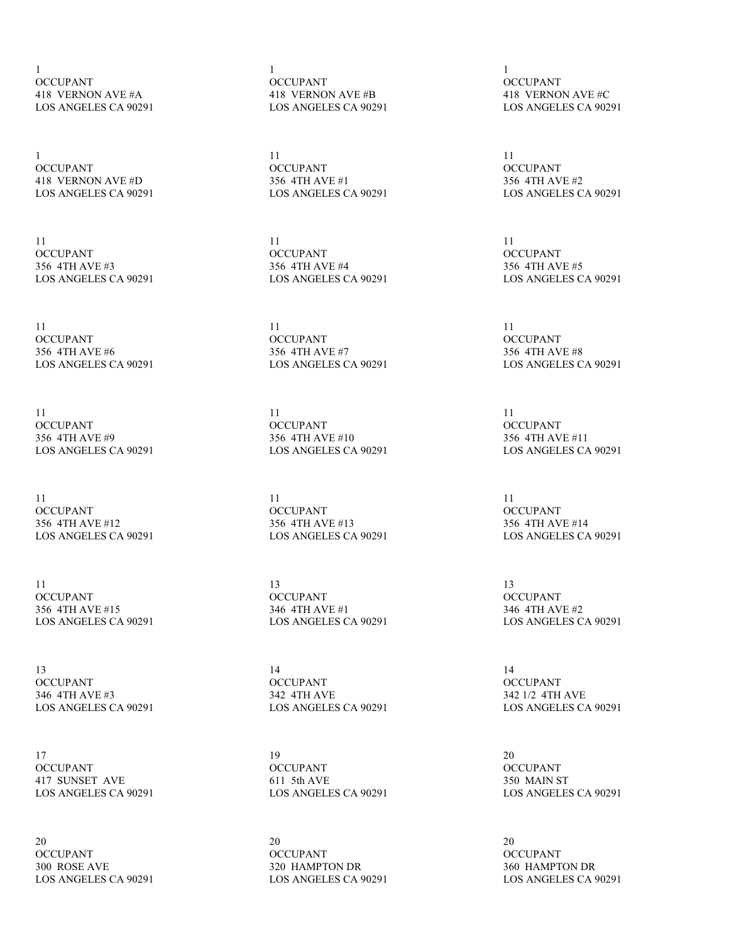1 OCCUPANT 418 VERNON AVE #A LOS ANGELES CA 90291

1 OCCUPANT 418 VERNON AVE #D LOS ANGELES CA 90291

11 **OCCUPANT** 356 4TH AVE #3 LOS ANGELES CA 90291

11 **OCCUPANT** 356 4TH AVE #6 LOS ANGELES CA 90291

11 OCCUPANT 356 4TH AVE #9 LOS ANGELES CA 90291

11 OCCUPANT 356 4TH AVE #12 LOS ANGELES CA 90291

11 OCCUPANT 356 4TH AVE #15 LOS ANGELES CA 90291

13 **OCCUPANT** 346 4TH AVE #3 LOS ANGELES CA 90291

17 OCCUPANT 417 SUNSET AVE LOS ANGELES CA 90291

20 OCCUPANT 300 ROSE AVE LOS ANGELES CA 90291 1 OCCUPANT 418 VERNON AVE #B LOS ANGELES CA 90291

11 OCCUPANT 356 4TH AVE #1 LOS ANGELES CA 90291

11 OCCUPANT 356 4TH AVE #4 LOS ANGELES CA 90291

11 **OCCUPANT** 356 4TH AVE #7 LOS ANGELES CA 90291

11 OCCUPANT 356 4TH AVE #10 LOS ANGELES CA 90291

11 OCCUPANT 356 4TH AVE #13 LOS ANGELES CA 90291

13 OCCUPANT 346 4TH AVE #1 LOS ANGELES CA 90291

14 OCCUPANT 342 4TH AVE LOS ANGELES CA 90291

19 **OCCUPANT** 611 5th AVE LOS ANGELES CA 90291

20 OCCUPANT 320 HAMPTON DR LOS ANGELES CA 90291

1 OCCUPANT 418 VERNON AVE #C LOS ANGELES CA 90291

11 OCCUPANT 356 4TH AVE #2 LOS ANGELES CA 90291

11 **OCCUPANT** 356 4TH AVE #5 LOS ANGELES CA 90291

11 **OCCUPANT** 356 4TH AVE #8 LOS ANGELES CA 90291

11 OCCUPANT 356 4TH AVE #11 LOS ANGELES CA 90291

11 OCCUPANT 356 4TH AVE #14 LOS ANGELES CA 90291

13 **OCCUPANT** 346 4TH AVE #2 LOS ANGELES CA 90291

14 **OCCUPANT** 342 1/2 4TH AVE LOS ANGELES CA 90291

20 **OCCUPANT** 350 MAIN ST LOS ANGELES CA 90291

20 OCCUPANT 360 HAMPTON DR LOS ANGELES CA 90291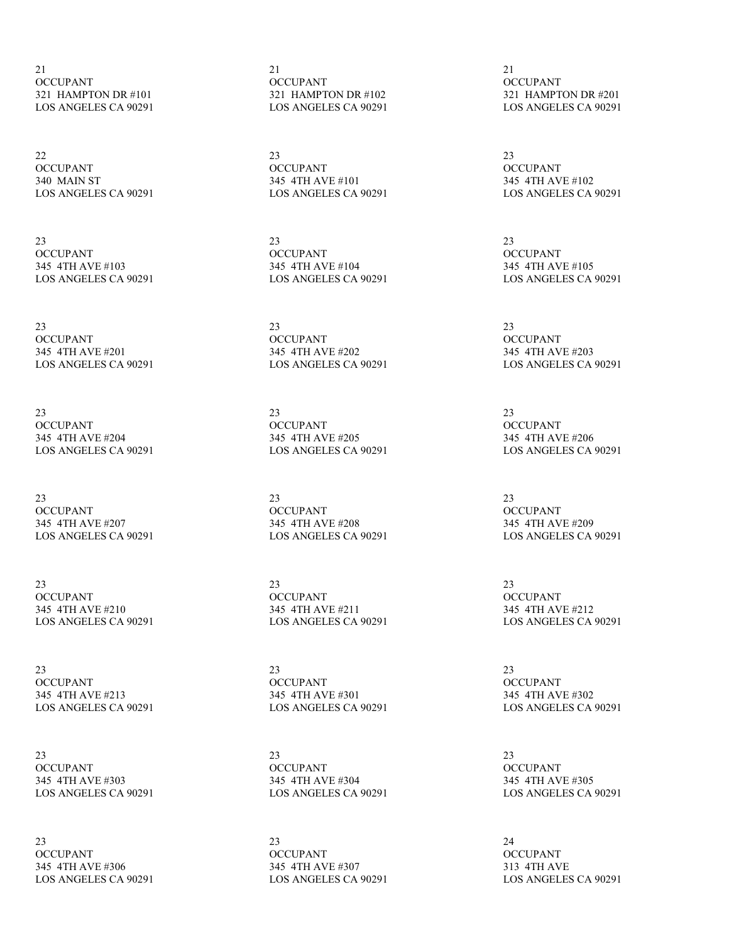21 OCCUPANT 321 HAMPTON DR #101 LOS ANGELES CA 90291

22 OCCUPANT 340 MAIN ST LOS ANGELES CA 90291

23 **OCCUPANT** 345 4TH AVE #103 LOS ANGELES CA 90291

23 OCCUPANT 345 4TH AVE #201 LOS ANGELES CA 90291

23 OCCUPANT 345 4TH AVE #204 LOS ANGELES CA 90291

23 OCCUPANT 345 4TH AVE #207 LOS ANGELES CA 90291

23 **OCCUPANT** 345 4TH AVE #210 LOS ANGELES CA 90291

23 **OCCUPANT** 345 4TH AVE #213 LOS ANGELES CA 90291

23 OCCUPANT 345 4TH AVE #303 LOS ANGELES CA 90291

23 OCCUPANT 345 4TH AVE #306 LOS ANGELES CA 90291 21 OCCUPANT 321 HAMPTON DR #102 LOS ANGELES CA 90291

23 OCCUPANT 345 4TH AVE #101 LOS ANGELES CA 90291

23 **OCCUPANT** 345 4TH AVE #104 LOS ANGELES CA 90291

23 OCCUPANT 345 4TH AVE #202 LOS ANGELES CA 90291

23 OCCUPANT 345 4TH AVE #205 LOS ANGELES CA 90291

23 OCCUPANT 345 4TH AVE #208 LOS ANGELES CA 90291

23 OCCUPANT 345 4TH AVE #211 LOS ANGELES CA 90291

23 **OCCUPANT** 345 4TH AVE #301 LOS ANGELES CA 90291

23 OCCUPANT 345 4TH AVE #304 LOS ANGELES CA 90291

23 OCCUPANT 345 4TH AVE #307 LOS ANGELES CA 90291

21 OCCUPANT 321 HAMPTON DR #201 LOS ANGELES CA 90291

23 OCCUPANT 345 4TH AVE #102 LOS ANGELES CA 90291

23 **OCCUPANT** 345 4TH AVE #105 LOS ANGELES CA 90291

23 **OCCUPANT** 345 4TH AVE #203 LOS ANGELES CA 90291

23 OCCUPANT 345 4TH AVE #206 LOS ANGELES CA 90291

23 OCCUPANT 345 4TH AVE #209 LOS ANGELES CA 90291

23 **OCCUPANT** 345 4TH AVE #212 LOS ANGELES CA 90291

23 **OCCUPANT** 345 4TH AVE #302 LOS ANGELES CA 90291

23 **OCCUPANT** 345 4TH AVE #305 LOS ANGELES CA 90291

24 OCCUPANT 313 4TH AVE LOS ANGELES CA 90291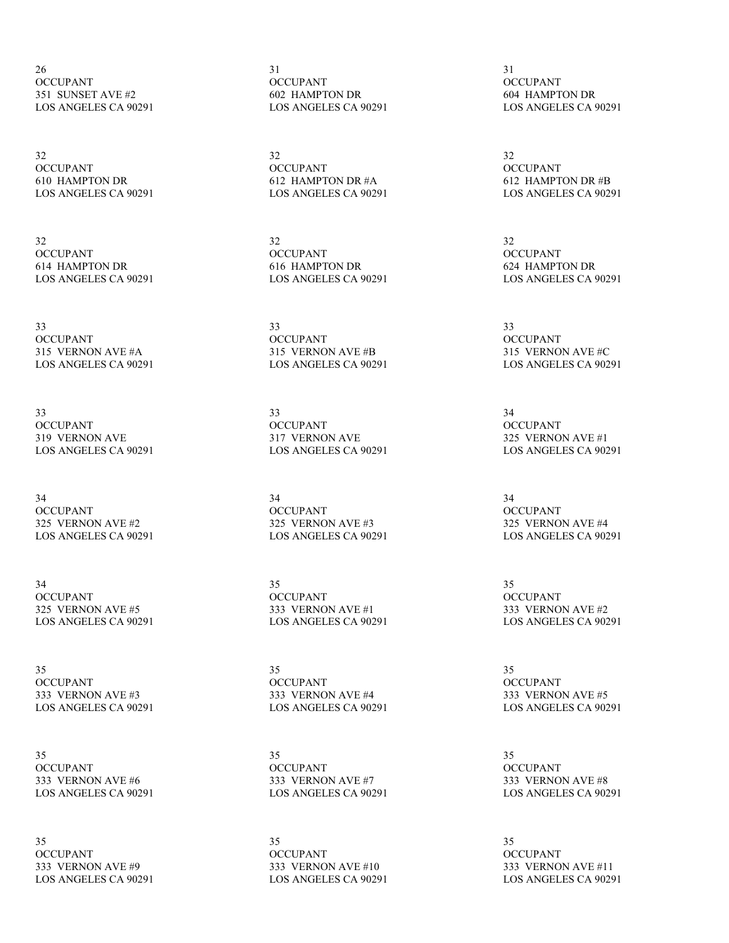26 OCCUPANT 351 SUNSET AVE #2 LOS ANGELES CA 90291

32 OCCUPANT 610 HAMPTON DR LOS ANGELES CA 90291

32 **OCCUPANT** 614 HAMPTON DR LOS ANGELES CA 90291

33 OCCUPANT 315 VERNON AVE #A LOS ANGELES CA 90291

33 OCCUPANT 319 VERNON AVE LOS ANGELES CA 90291

34 OCCUPANT 325 VERNON AVE #2 LOS ANGELES CA 90291

34 OCCUPANT 325 VERNON AVE #5 LOS ANGELES CA 90291

35 **OCCUPANT** 333 VERNON AVE #3 LOS ANGELES CA 90291

35 **OCCUPANT** 333 VERNON AVE #6 LOS ANGELES CA 90291

35 OCCUPANT 333 VERNON AVE #9 LOS ANGELES CA 90291 31 OCCUPANT 602 HAMPTON DR LOS ANGELES CA 90291

32 OCCUPANT 612 HAMPTON DR #A LOS ANGELES CA 90291

32 **OCCUPANT** 616 HAMPTON DR LOS ANGELES CA 90291

33 **OCCUPANT** 315 VERNON AVE #B LOS ANGELES CA 90291

33 OCCUPANT 317 VERNON AVE LOS ANGELES CA 90291

34 OCCUPANT 325 VERNON AVE #3 LOS ANGELES CA 90291

35 OCCUPANT 333 VERNON AVE #1 LOS ANGELES CA 90291

35 **OCCUPANT** 333 VERNON AVE #4 LOS ANGELES CA 90291

35 OCCUPANT 333 VERNON AVE #7 LOS ANGELES CA 90291

35 OCCUPANT 333 VERNON AVE #10 LOS ANGELES CA 90291

31 OCCUPANT 604 HAMPTON DR LOS ANGELES CA 90291

32 OCCUPANT 612 HAMPTON DR #B LOS ANGELES CA 90291

32 **OCCUPANT** 624 HAMPTON DR LOS ANGELES CA 90291

33 **OCCUPANT** 315 VERNON AVE #C LOS ANGELES CA 90291

34 **OCCUPANT** 325 VERNON AVE #1 LOS ANGELES CA 90291

34 OCCUPANT 325 VERNON AVE #4 LOS ANGELES CA 90291

35 OCCUPANT 333 VERNON AVE #2 LOS ANGELES CA 90291

35 **OCCUPANT** 333 VERNON AVE #5 LOS ANGELES CA 90291

35 **OCCUPANT** 333 VERNON AVE #8 LOS ANGELES CA 90291

35 OCCUPANT 333 VERNON AVE #11 LOS ANGELES CA 90291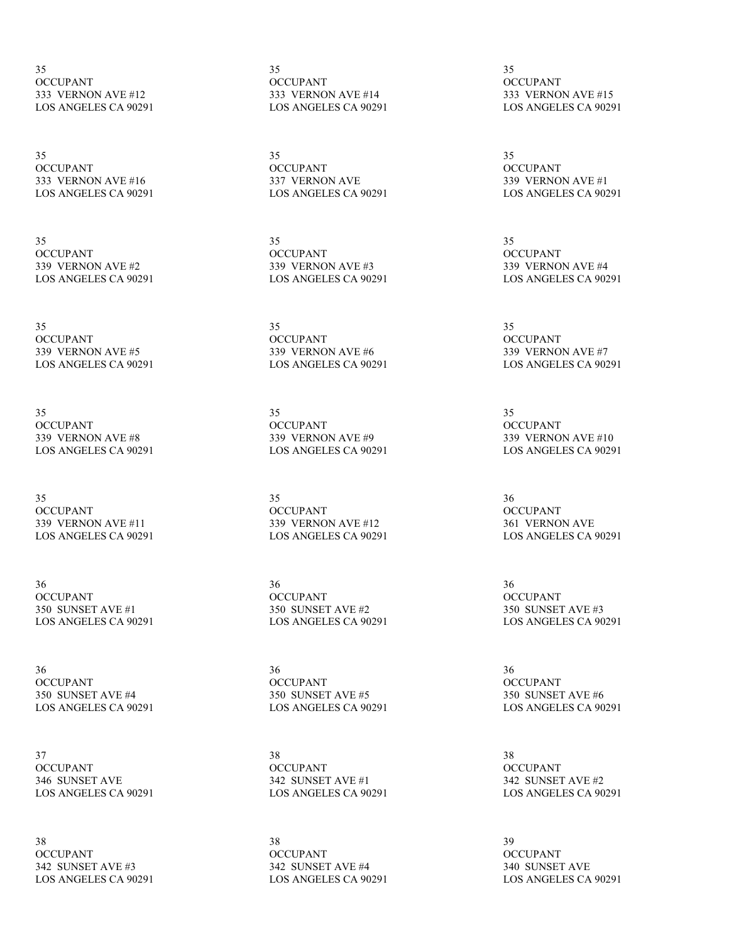35 OCCUPANT 333 VERNON AVE #12 LOS ANGELES CA 90291

35 OCCUPANT 333 VERNON AVE #16 LOS ANGELES CA 90291

35 **OCCUPANT** 339 VERNON AVE #2 LOS ANGELES CA 90291

35 **OCCUPANT** 339 VERNON AVE #5 LOS ANGELES CA 90291

35 OCCUPANT 339 VERNON AVE #8 LOS ANGELES CA 90291

35 OCCUPANT 339 VERNON AVE #11 LOS ANGELES CA 90291

36 OCCUPANT 350 SUNSET AVE #1 LOS ANGELES CA 90291

36 **OCCUPANT** 350 SUNSET AVE #4 LOS ANGELES CA 90291

37 **OCCUPANT** 346 SUNSET AVE LOS ANGELES CA 90291

38 **OCCUPANT** 342 SUNSET AVE #3 LOS ANGELES CA 90291 35 OCCUPANT 333 VERNON AVE #14 LOS ANGELES CA 90291

35 OCCUPANT 337 VERNON AVE LOS ANGELES CA 90291

35 **OCCUPANT** 339 VERNON AVE #3 LOS ANGELES CA 90291

35 **OCCUPANT** 339 VERNON AVE #6 LOS ANGELES CA 90291

35 OCCUPANT 339 VERNON AVE #9 LOS ANGELES CA 90291

35 OCCUPANT 339 VERNON AVE #12 LOS ANGELES CA 90291

36 **OCCUPANT** 350 SUNSET AVE #2 LOS ANGELES CA 90291

36 **OCCUPANT** 350 SUNSET AVE #5 LOS ANGELES CA 90291

38 **OCCUPANT** 342 SUNSET AVE #1 LOS ANGELES CA 90291

38 OCCUPANT 342 SUNSET AVE #4 LOS ANGELES CA 90291

35 OCCUPANT 333 VERNON AVE #15 LOS ANGELES CA 90291

35 OCCUPANT 339 VERNON AVE #1 LOS ANGELES CA 90291

35 **OCCUPANT** 339 VERNON AVE #4 LOS ANGELES CA 90291

35 **OCCUPANT** 339 VERNON AVE #7 LOS ANGELES CA 90291

35 **OCCUPANT** 339 VERNON AVE #10 LOS ANGELES CA 90291

36 OCCUPANT 361 VERNON AVE LOS ANGELES CA 90291

36 **OCCUPANT** 350 SUNSET AVE #3 LOS ANGELES CA 90291

36 **OCCUPANT** 350 SUNSET AVE #6 LOS ANGELES CA 90291

38 **OCCUPANT** 342 SUNSET AVE #2 LOS ANGELES CA 90291

39 OCCUPANT 340 SUNSET AVE LOS ANGELES CA 90291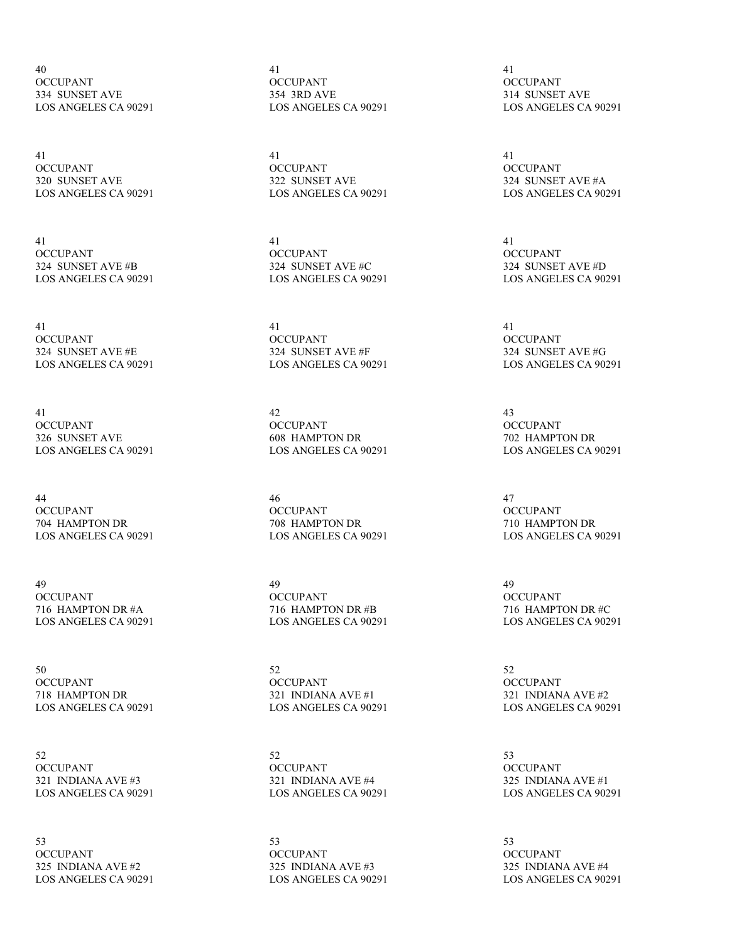40 OCCUPANT 334 SUNSET AVE LOS ANGELES CA 90291

41 OCCUPANT 320 SUNSET AVE LOS ANGELES CA 90291

41 **OCCUPANT** 324 SUNSET AVE #B LOS ANGELES CA 90291

41 **OCCUPANT** 324 SUNSET AVE #E LOS ANGELES CA 90291

41 OCCUPANT 326 SUNSET AVE LOS ANGELES CA 90291

44 OCCUPANT 704 HAMPTON DR LOS ANGELES CA 90291

49 OCCUPANT 716 HAMPTON DR #A LOS ANGELES CA 90291

50 **OCCUPANT** 718 HAMPTON DR LOS ANGELES CA 90291

52 OCCUPANT 321 INDIANA AVE #3 LOS ANGELES CA 90291

53 OCCUPANT 325 INDIANA AVE #2 LOS ANGELES CA 90291 41 OCCUPANT 354 3RD AVE LOS ANGELES CA 90291

41 OCCUPANT 322 SUNSET AVE LOS ANGELES CA 90291

41 **OCCUPANT** 324 SUNSET AVE #C LOS ANGELES CA 90291

41 **OCCUPANT** 324 SUNSET AVE #F LOS ANGELES CA 90291

42 OCCUPANT 608 HAMPTON DR LOS ANGELES CA 90291

46 **OCCUPANT** 708 HAMPTON DR LOS ANGELES CA 90291

49 OCCUPANT 716 HAMPTON DR #B LOS ANGELES CA 90291

52 **OCCUPANT** 321 INDIANA AVE #1 LOS ANGELES CA 90291

52 **OCCUPANT** 321 INDIANA AVE #4 LOS ANGELES CA 90291

53 OCCUPANT 325 INDIANA AVE #3 LOS ANGELES CA 90291

41 OCCUPANT 314 SUNSET AVE LOS ANGELES CA 90291

41 OCCUPANT 324 SUNSET AVE #A LOS ANGELES CA 90291

41 **OCCUPANT** 324 SUNSET AVE #D LOS ANGELES CA 90291

41 **OCCUPANT** 324 SUNSET AVE #G LOS ANGELES CA 90291

43 **OCCUPANT** 702 HAMPTON DR LOS ANGELES CA 90291

47 OCCUPANT 710 HAMPTON DR LOS ANGELES CA 90291

49 OCCUPANT 716 HAMPTON DR #C LOS ANGELES CA 90291

52 **OCCUPANT** 321 INDIANA AVE #2 LOS ANGELES CA 90291

53 **OCCUPANT** 325 INDIANA AVE #1 LOS ANGELES CA 90291

53 OCCUPANT 325 INDIANA AVE #4 LOS ANGELES CA 90291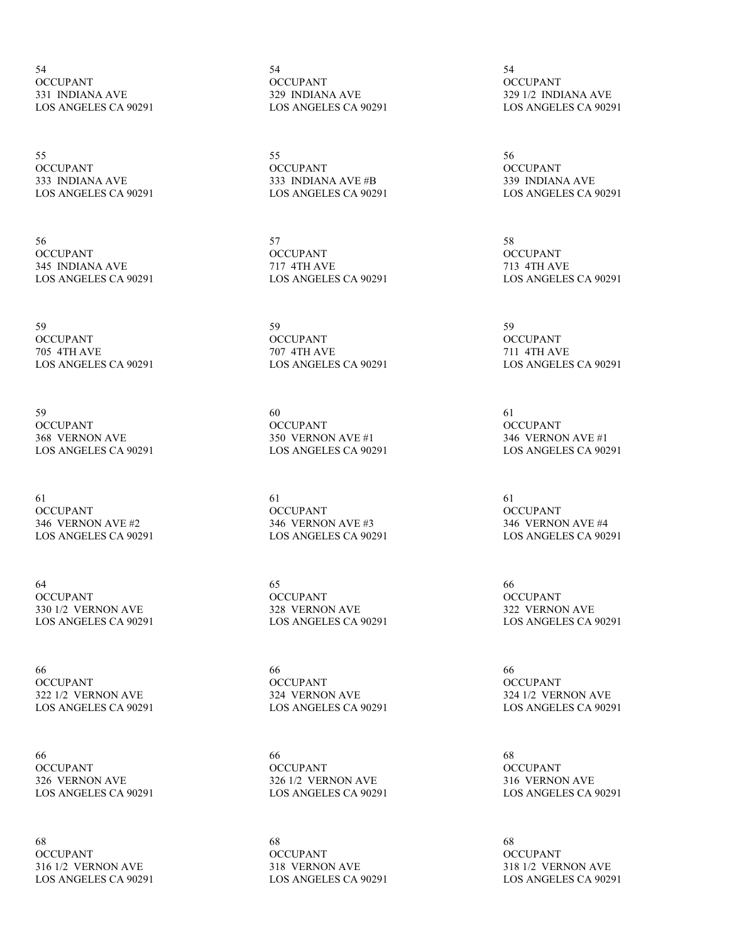54 OCCUPANT 331 INDIANA AVE LOS ANGELES CA 90291

55 OCCUPANT 333 INDIANA AVE LOS ANGELES CA 90291

56 **OCCUPANT** 345 INDIANA AVE LOS ANGELES CA 90291

59 **OCCUPANT** 705 4TH AVE LOS ANGELES CA 90291

59 **OCCUPANT** 368 VERNON AVE LOS ANGELES CA 90291

61 OCCUPANT 346 VERNON AVE #2 LOS ANGELES CA 90291

64 OCCUPANT 330 1/2 VERNON AVE LOS ANGELES CA 90291

66 **OCCUPANT** 322 1/2 VERNON AVE LOS ANGELES CA 90291

66 **OCCUPANT** 326 VERNON AVE LOS ANGELES CA 90291

68 **OCCUPANT** 316 1/2 VERNON AVE LOS ANGELES CA 90291 54 OCCUPANT 329 INDIANA AVE LOS ANGELES CA 90291

55 OCCUPANT 333 INDIANA AVE #B LOS ANGELES CA 90291

57 **OCCUPANT** 717 4TH AVE LOS ANGELES CA 90291

59 **OCCUPANT** 707 4TH AVE LOS ANGELES CA 90291

60 **OCCUPANT** 350 VERNON AVE #1 LOS ANGELES CA 90291

61 OCCUPANT 346 VERNON AVE #3 LOS ANGELES CA 90291

65 OCCUPANT 328 VERNON AVE LOS ANGELES CA 90291

66 **OCCUPANT** 324 VERNON AVE LOS ANGELES CA 90291

66 **OCCUPANT** 326 1/2 VERNON AVE LOS ANGELES CA 90291

68 **OCCUPANT** 318 VERNON AVE LOS ANGELES CA 90291

54 OCCUPANT 329 1/2 INDIANA AVE LOS ANGELES CA 90291

56 OCCUPANT 339 INDIANA AVE LOS ANGELES CA 90291

58 **OCCUPANT** 713 4TH AVE LOS ANGELES CA 90291

59 **OCCUPANT** 711 4TH AVE LOS ANGELES CA 90291

61 **OCCUPANT** 346 VERNON AVE #1 LOS ANGELES CA 90291

61 OCCUPANT 346 VERNON AVE #4 LOS ANGELES CA 90291

66 OCCUPANT 322 VERNON AVE LOS ANGELES CA 90291

66 **OCCUPANT** 324 1/2 VERNON AVE LOS ANGELES CA 90291

68 **OCCUPANT** 316 VERNON AVE LOS ANGELES CA 90291

68 OCCUPANT 318 1/2 VERNON AVE LOS ANGELES CA 90291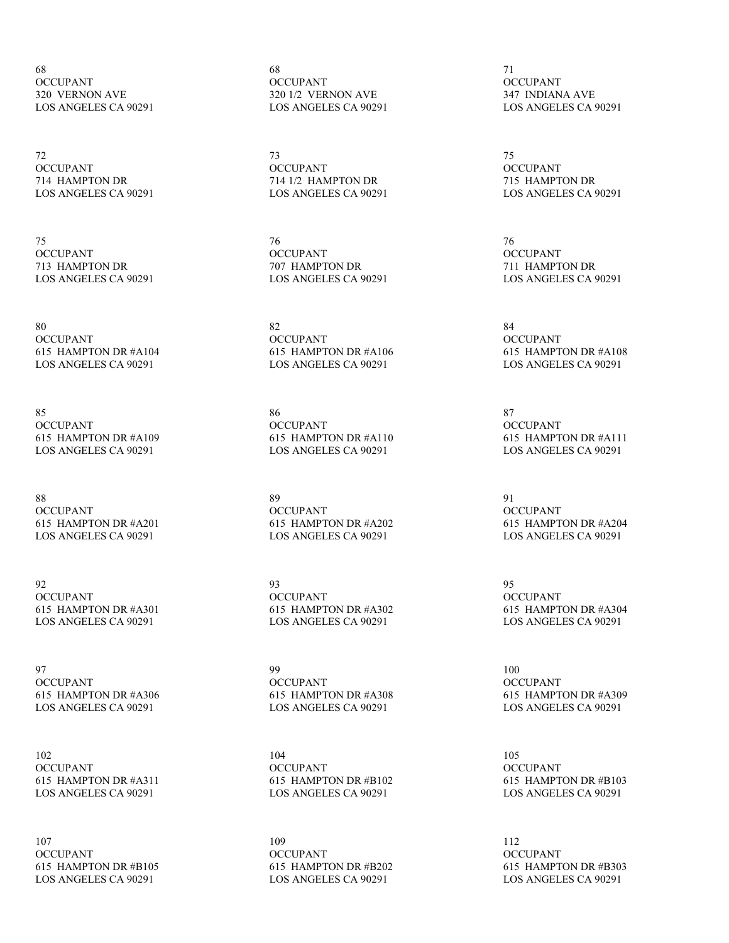68 OCCUPANT 320 VERNON AVE LOS ANGELES CA 90291

72 OCCUPANT 714 HAMPTON DR LOS ANGELES CA 90291

75 OCCUPANT 713 HAMPTON DR LOS ANGELES CA 90291

80 **OCCUPANT** 615 HAMPTON DR #A104 LOS ANGELES CA 90291

85 **OCCUPANT** 615 HAMPTON DR #A109 LOS ANGELES CA 90291

88 **OCCUPANT** 615 HAMPTON DR #A201 LOS ANGELES CA 90291

92 OCCUPANT 615 HAMPTON DR #A301 LOS ANGELES CA 90291

97 **OCCUPANT** 615 HAMPTON DR #A306 LOS ANGELES CA 90291

102 **OCCUPANT** 615 HAMPTON DR #A311 LOS ANGELES CA 90291

107 OCCUPANT 615 HAMPTON DR #B105 LOS ANGELES CA 90291

68 OCCUPANT 320 1/2 VERNON AVE LOS ANGELES CA 90291

73 OCCUPANT 714 1/2 HAMPTON DR LOS ANGELES CA 90291

76 **OCCUPANT** 707 HAMPTON DR LOS ANGELES CA 90291

82 **OCCUPANT** 615 HAMPTON DR #A106 LOS ANGELES CA 90291

86 **OCCUPANT** 615 HAMPTON DR #A110 LOS ANGELES CA 90291

89 OCCUPANT 615 HAMPTON DR #A202 LOS ANGELES CA 90291

93 OCCUPANT 615 HAMPTON DR #A302 LOS ANGELES CA 90291

99 OCCUPANT 615 HAMPTON DR #A308 LOS ANGELES CA 90291

104 **OCCUPANT** 615 HAMPTON DR #B102 LOS ANGELES CA 90291

109 OCCUPANT 615 HAMPTON DR #B202 LOS ANGELES CA 90291

71 OCCUPANT 347 INDIANA AVE LOS ANGELES CA 90291

75 OCCUPANT 715 HAMPTON DR LOS ANGELES CA 90291

76 OCCUPANT 711 HAMPTON DR LOS ANGELES CA 90291

84 **OCCUPANT** 615 HAMPTON DR #A108 LOS ANGELES CA 90291

87 **OCCUPANT** 615 HAMPTON DR #A111 LOS ANGELES CA 90291

91 OCCUPANT 615 HAMPTON DR #A204 LOS ANGELES CA 90291

95 OCCUPANT 615 HAMPTON DR #A304 LOS ANGELES CA 90291

100 OCCUPANT 615 HAMPTON DR #A309 LOS ANGELES CA 90291

105 **OCCUPANT** 615 HAMPTON DR #B103 LOS ANGELES CA 90291

112 OCCUPANT 615 HAMPTON DR #B303 LOS ANGELES CA 90291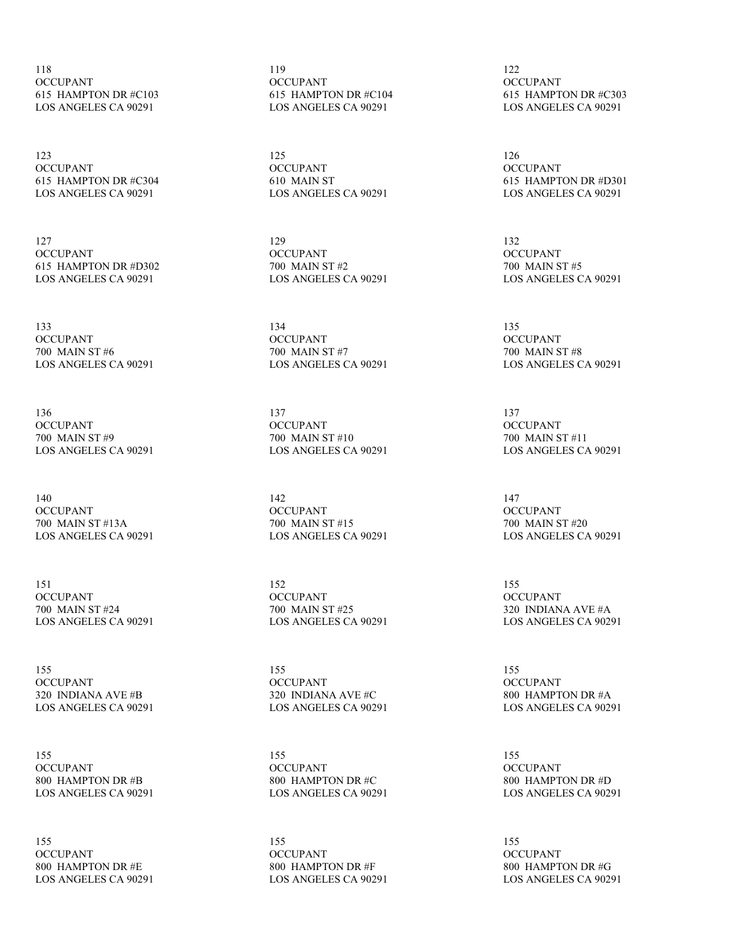118 OCCUPANT 615 HAMPTON DR #C103 LOS ANGELES CA 90291

123 OCCUPANT 615 HAMPTON DR #C304 LOS ANGELES CA 90291

127 OCCUPANT 615 HAMPTON DR #D302 LOS ANGELES CA 90291

133 **OCCUPANT** 700 MAIN ST #6 LOS ANGELES CA 90291

136 **OCCUPANT** 700 MAIN ST #9 LOS ANGELES CA 90291

140 **OCCUPANT** 700 MAIN ST #13A LOS ANGELES CA 90291

151 **OCCUPANT** 700 MAIN ST #24 LOS ANGELES CA 90291

155 **OCCUPANT** 320 INDIANA AVE #B LOS ANGELES CA 90291

155 **OCCUPANT** 800 HAMPTON DR #B LOS ANGELES CA 90291

155 OCCUPANT 800 HAMPTON DR #E LOS ANGELES CA 90291 119 OCCUPANT 615 HAMPTON DR #C104 LOS ANGELES CA 90291

125 OCCUPANT 610 MAIN ST LOS ANGELES CA 90291

129 OCCUPANT 700 MAIN ST #2 LOS ANGELES CA 90291

134 **OCCUPANT** 700 MAIN ST #7 LOS ANGELES CA 90291

137 **OCCUPANT** 700 MAIN ST #10 LOS ANGELES CA 90291

142 **OCCUPANT** 700 MAIN ST #15 LOS ANGELES CA 90291

152 OCCUPANT 700 MAIN ST #25 LOS ANGELES CA 90291

155 **OCCUPANT** 320 INDIANA AVE #C LOS ANGELES CA 90291

155 **OCCUPANT** 800 HAMPTON DR #C LOS ANGELES CA 90291

155 **OCCUPANT** 800 HAMPTON DR #F LOS ANGELES CA 90291

122 OCCUPANT 615 HAMPTON DR #C303 LOS ANGELES CA 90291

126 OCCUPANT 615 HAMPTON DR #D301 LOS ANGELES CA 90291

132 OCCUPANT 700 MAIN ST #5 LOS ANGELES CA 90291

135 **OCCUPANT** 700 MAIN ST #8 LOS ANGELES CA 90291

137 **OCCUPANT** 700 MAIN ST #11 LOS ANGELES CA 90291

147 **OCCUPANT** 700 MAIN ST #20 LOS ANGELES CA 90291

155 OCCUPANT 320 INDIANA AVE #A LOS ANGELES CA 90291

155 **OCCUPANT** 800 HAMPTON DR #A LOS ANGELES CA 90291

155 OCCUPANT 800 HAMPTON DR #D LOS ANGELES CA 90291

155 OCCUPANT 800 HAMPTON DR #G LOS ANGELES CA 90291